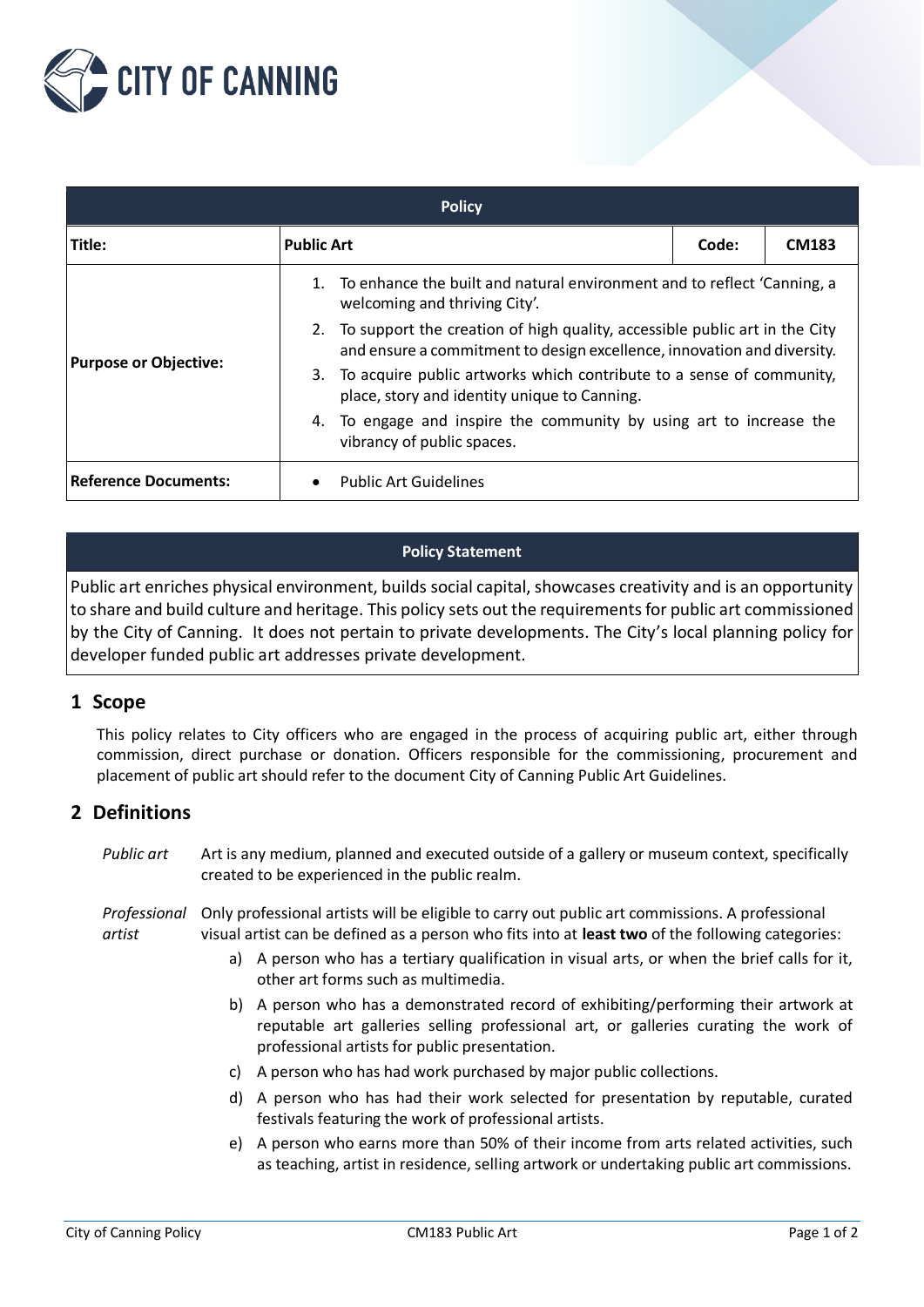

| <b>Policy</b>                |                                                                                                                                                          |  |              |  |  |
|------------------------------|----------------------------------------------------------------------------------------------------------------------------------------------------------|--|--------------|--|--|
| Title:                       | <b>Public Art</b><br>Code:                                                                                                                               |  | <b>CM183</b> |  |  |
| <b>Purpose or Objective:</b> | To enhance the built and natural environment and to reflect 'Canning, a<br>welcoming and thriving City'.                                                 |  |              |  |  |
|                              | 2. To support the creation of high quality, accessible public art in the City<br>and ensure a commitment to design excellence, innovation and diversity. |  |              |  |  |
|                              | 3. To acquire public artworks which contribute to a sense of community,<br>place, story and identity unique to Canning.                                  |  |              |  |  |
|                              | 4. To engage and inspire the community by using art to increase the<br>vibrancy of public spaces.                                                        |  |              |  |  |
| <b>Reference Documents:</b>  | <b>Public Art Guidelines</b><br>$\bullet$                                                                                                                |  |              |  |  |

#### **Policy Statement**

Public art enriches physical environment, builds social capital, showcases creativity and is an opportunity to share and build culture and heritage. This policy sets out the requirements for public art commissioned by the City of Canning. It does not pertain to private developments. The City's local planning policy for developer funded public art addresses private development.

## **1 Scope**

This policy relates to City officers who are engaged in the process of acquiring public art, either through commission, direct purchase or donation. Officers responsible for the commissioning, procurement and placement of public art should refer to the document City of Canning Public Art Guidelines.

## **2 Definitions**

*Public art* Art is any medium, planned and executed outside of a gallery or museum context, specifically created to be experienced in the public realm.

*Professional*  Only professional artists will be eligible to carry out public art commissions. A professional *artist* visual artist can be defined as a person who fits into at **least two** of the following categories:

- a) A person who has a tertiary qualification in visual arts, or when the brief calls for it, other art forms such as multimedia.
- b) A person who has a demonstrated record of exhibiting/performing their artwork at reputable art galleries selling professional art, or galleries curating the work of professional artists for public presentation.
- c) A person who has had work purchased by major public collections.
- d) A person who has had their work selected for presentation by reputable, curated festivals featuring the work of professional artists.
- e) A person who earns more than 50% of their income from arts related activities, such as teaching, artist in residence, selling artwork or undertaking public art commissions.